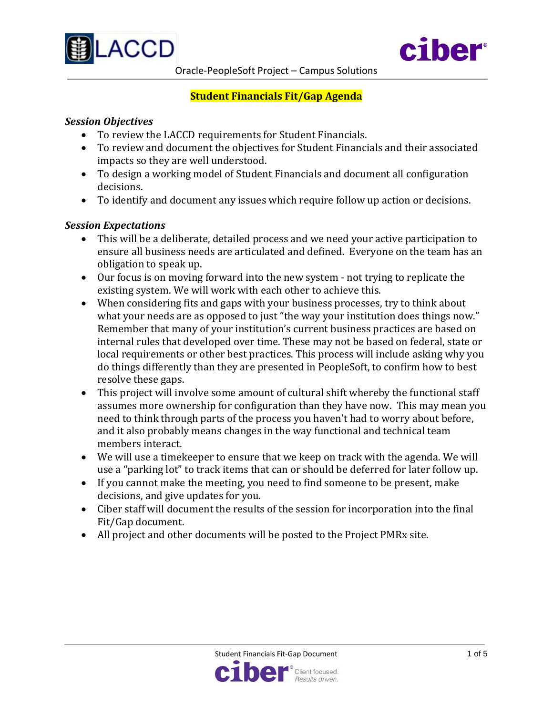



### **Student Financials Fit/Gap Agenda**

#### *Session Objectives*

- To review the LACCD requirements for Student Financials.
- To review and document the objectives for Student Financials and their associated impacts so they are well understood.
- To design a working model of Student Financials and document all configuration decisions.
- To identify and document any issues which require follow up action or decisions.

#### *Session Expectations*

- This will be a deliberate, detailed process and we need your active participation to ensure all business needs are articulated and defined. Everyone on the team has an obligation to speak up.
- Our focus is on moving forward into the new system not trying to replicate the existing system. We will work with each other to achieve this.
- When considering fits and gaps with your business processes, try to think about what your needs are as opposed to just "the way your institution does things now." Remember that many of your institution's current business practices are based on internal rules that developed over time. These may not be based on federal, state or local requirements or other best practices. This process will include asking why you do things differently than they are presented in PeopleSoft, to confirm how to best resolve these gaps.
- This project will involve some amount of cultural shift whereby the functional staff assumes more ownership for configuration than they have now. This may mean you need to think through parts of the process you haven't had to worry about before, and it also probably means changes in the way functional and technical team members interact.
- We will use a timekeeper to ensure that we keep on track with the agenda. We will use a "parking lot" to track items that can or should be deferred for later follow up.
- If you cannot make the meeting, you need to find someone to be present, make decisions, and give updates for you.
- Ciber staff will document the results of the session for incorporation into the final Fit/Gap document.
- All project and other documents will be posted to the Project PMRx site.

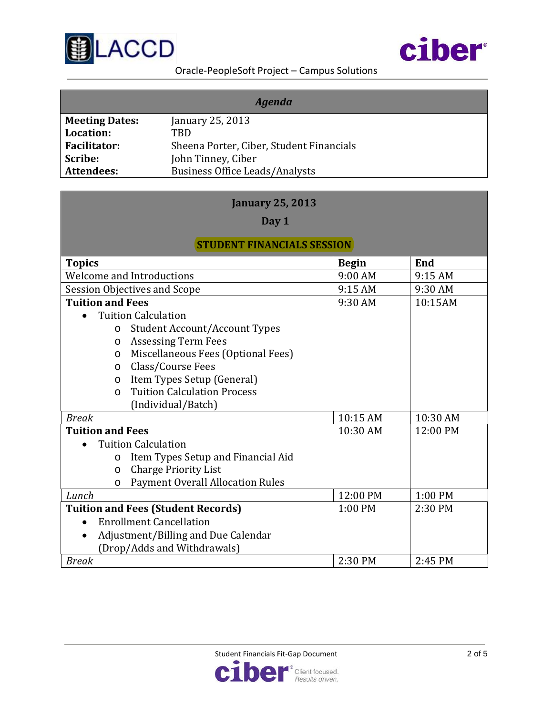



Oracle-PeopleSoft Project – Campus Solutions

| <b>Agenda</b>         |                                          |  |
|-----------------------|------------------------------------------|--|
| <b>Meeting Dates:</b> | January 25, 2013                         |  |
| Location:             | TRD                                      |  |
| <b>Facilitator:</b>   | Sheena Porter, Ciber, Student Financials |  |
| Scribe:               | John Tinney, Ciber                       |  |
| <b>Attendees:</b>     | <b>Business Office Leads/Analysts</b>    |  |

### **January 25, 2013**

**Day 1**

### **STUDENT FINANCIALS SESSION**

| <b>Topics</b>                             |                                         | <b>Begin</b> | End      |
|-------------------------------------------|-----------------------------------------|--------------|----------|
| <b>Welcome and Introductions</b>          |                                         | 9:00 AM      | 9:15 AM  |
|                                           | Session Objectives and Scope            | 9:15 AM      | 9:30 AM  |
| <b>Tuition and Fees</b>                   |                                         | 9:30 AM      | 10:15AM  |
|                                           | <b>Tuition Calculation</b>              |              |          |
| $\circ$                                   | <b>Student Account/Account Types</b>    |              |          |
| $\circ$                                   | <b>Assessing Term Fees</b>              |              |          |
| $\circ$                                   | Miscellaneous Fees (Optional Fees)      |              |          |
| $\circ$                                   | Class/Course Fees                       |              |          |
| $\circ$                                   | Item Types Setup (General)              |              |          |
| $\Omega$                                  | <b>Tuition Calculation Process</b>      |              |          |
|                                           | (Individual/Batch)                      |              |          |
| <b>Break</b>                              |                                         | 10:15 AM     | 10:30 AM |
| <b>Tuition and Fees</b>                   |                                         | 10:30 AM     | 12:00 PM |
|                                           | <b>Tuition Calculation</b>              |              |          |
| $\circ$                                   | Item Types Setup and Financial Aid      |              |          |
| $\circ$                                   | <b>Charge Priority List</b>             |              |          |
| $\circ$                                   | <b>Payment Overall Allocation Rules</b> |              |          |
| Lunch                                     |                                         | 12:00 PM     | 1:00 PM  |
| <b>Tuition and Fees (Student Records)</b> |                                         | $1:00$ PM    | 2:30 PM  |
| $\bullet$                                 | <b>Enrollment Cancellation</b>          |              |          |
| $\bullet$                                 | Adjustment/Billing and Due Calendar     |              |          |
|                                           | (Drop/Adds and Withdrawals)             |              |          |
| <b>Break</b>                              |                                         | 2:30 PM      | 2:45 PM  |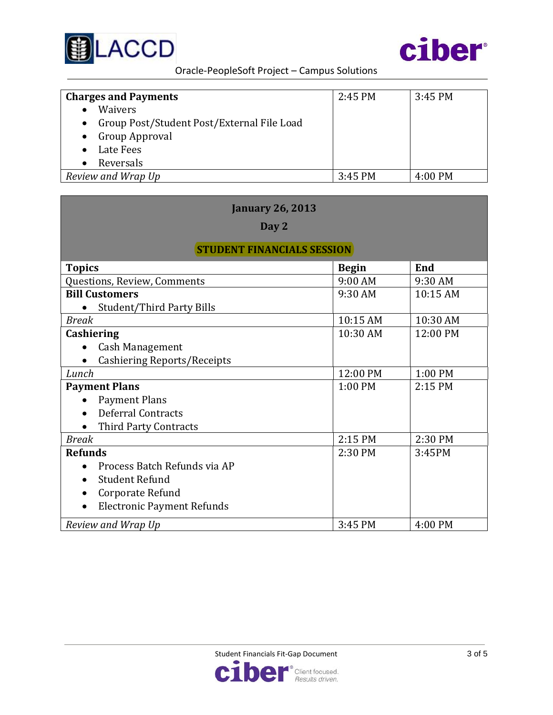



Oracle-PeopleSoft Project – Campus Solutions

| <b>Charges and Payments</b>                             | 2:45 PM | $3:45$ PM         |
|---------------------------------------------------------|---------|-------------------|
| <b>Waivers</b>                                          |         |                   |
| Group Post/Student Post/External File Load<br>$\bullet$ |         |                   |
| Group Approval<br>$\bullet$                             |         |                   |
| Late Fees                                               |         |                   |
| Reversals                                               |         |                   |
| Review and Wrap Up                                      | 3:45 PM | $4:00 \text{ PM}$ |

| <b>January 26, 2013</b>           |              |            |  |
|-----------------------------------|--------------|------------|--|
| Day 2                             |              |            |  |
| <b>STUDENT FINANCIALS SESSION</b> |              |            |  |
| <b>Topics</b>                     | <b>Begin</b> | <b>End</b> |  |
| Questions, Review, Comments       | 9:00 AM      | 9:30 AM    |  |
| <b>Bill Customers</b>             | 9:30 AM      | 10:15 AM   |  |
| <b>Student/Third Party Bills</b>  |              |            |  |
| <b>Break</b>                      | 10:15 AM     | 10:30 AM   |  |
| Cashiering                        | 10:30 AM     | 12:00 PM   |  |
| Cash Management                   |              |            |  |
| Cashiering Reports/Receipts       |              |            |  |
| Lunch                             | 12:00 PM     | 1:00 PM    |  |
| <b>Payment Plans</b>              | 1:00 PM      | 2:15 PM    |  |
| <b>Payment Plans</b>              |              |            |  |
| <b>Deferral Contracts</b>         |              |            |  |
| Third Party Contracts             |              |            |  |
| <b>Break</b>                      | 2:15 PM      | 2:30 PM    |  |
| <b>Refunds</b>                    | 2:30 PM      | 3:45PM     |  |
| Process Batch Refunds via AP      |              |            |  |
| <b>Student Refund</b>             |              |            |  |
| Corporate Refund                  |              |            |  |
| <b>Electronic Payment Refunds</b> |              |            |  |
| Review and Wrap Up                | 3:45 PM      | 4:00 PM    |  |

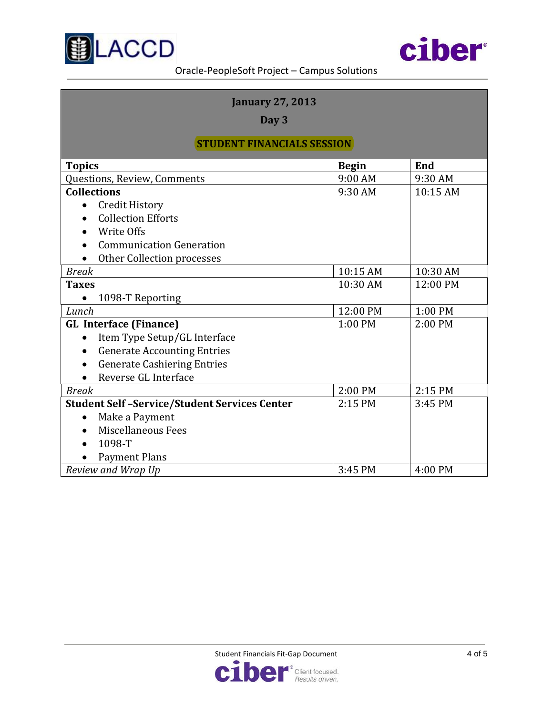



| <b>January 27, 2013</b>                             |              |          |
|-----------------------------------------------------|--------------|----------|
| Day 3                                               |              |          |
|                                                     |              |          |
| <b>STUDENT FINANCIALS SESSION</b>                   |              |          |
| <b>Topics</b>                                       | <b>Begin</b> | End      |
| Questions, Review, Comments                         | 9:00 AM      | 9:30 AM  |
| <b>Collections</b>                                  | 9:30 AM      | 10:15 AM |
| <b>Credit History</b>                               |              |          |
| <b>Collection Efforts</b>                           |              |          |
| Write Offs                                          |              |          |
| <b>Communication Generation</b>                     |              |          |
| Other Collection processes                          |              |          |
| <b>Break</b>                                        | 10:15 AM     | 10:30 AM |
| <b>Taxes</b>                                        | 10:30 AM     | 12:00 PM |
| 1098-T Reporting<br>$\bullet$                       |              |          |
| Lunch                                               | 12:00 PM     | 1:00 PM  |
| <b>GL Interface (Finance)</b>                       | 1:00 PM      | 2:00 PM  |
| Item Type Setup/GL Interface                        |              |          |
| <b>Generate Accounting Entries</b>                  |              |          |
| <b>Generate Cashiering Entries</b>                  |              |          |
| Reverse GL Interface                                |              |          |
| <b>Break</b>                                        | 2:00 PM      | 2:15 PM  |
| <b>Student Self-Service/Student Services Center</b> | 2:15 PM      | 3:45 PM  |
| Make a Payment                                      |              |          |
| Miscellaneous Fees                                  |              |          |
| 1098-T                                              |              |          |
| <b>Payment Plans</b>                                |              |          |
| Review and Wrap Up                                  | 3:45 PM      | 4:00 PM  |

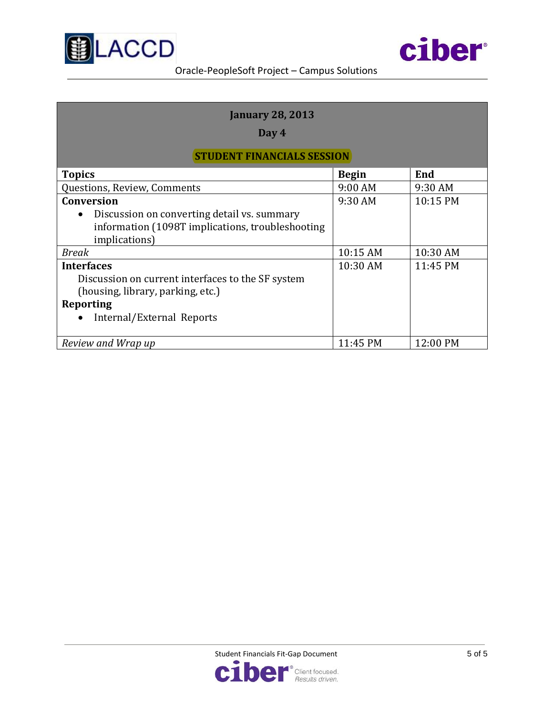



| <b>January 28, 2013</b>                                                                                                                               |              |          |  |  |
|-------------------------------------------------------------------------------------------------------------------------------------------------------|--------------|----------|--|--|
| Day 4                                                                                                                                                 |              |          |  |  |
| <b>STUDENT FINANCIALS SESSION</b>                                                                                                                     |              |          |  |  |
| <b>Topics</b>                                                                                                                                         | <b>Begin</b> | End      |  |  |
| Questions, Review, Comments                                                                                                                           | 9:00 AM      | 9:30 AM  |  |  |
| <b>Conversion</b><br>Discussion on converting detail vs. summary<br>information (1098T implications, troubleshooting<br>implications)                 | 9:30 AM      | 10:15 PM |  |  |
| Break                                                                                                                                                 | 10:15 AM     | 10:30 AM |  |  |
| <b>Interfaces</b><br>Discussion on current interfaces to the SF system<br>(housing, library, parking, etc.)<br>Reporting<br>Internal/External Reports | 10:30 AM     | 11:45 PM |  |  |
| Review and Wrap up                                                                                                                                    | 11:45 PM     | 12:00 PM |  |  |

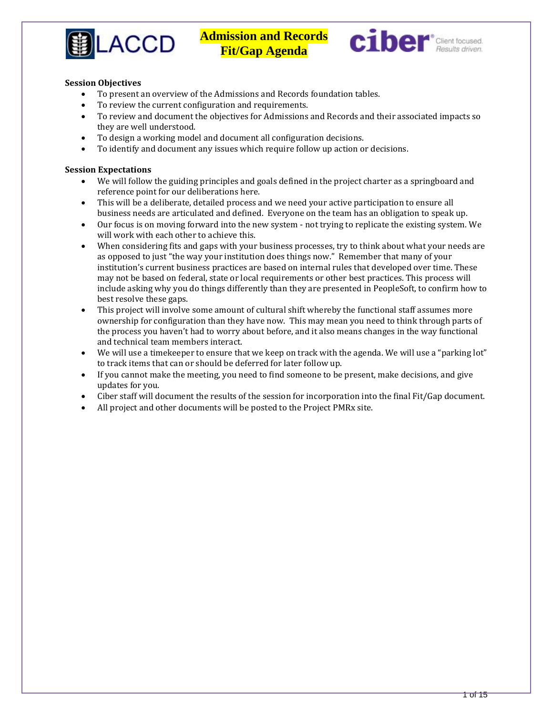



#### **Session Objectives**

- To present an overview of the Admissions and Records foundation tables.
- To review the current configuration and requirements.
- To review and document the objectives for Admissions and Records and their associated impacts so they are well understood.
- To design a working model and document all configuration decisions.<br>• To identify and document any issues which require follow un action of
- To identify and document any issues which require follow up action or decisions.

#### **Session Expectations**

- We will follow the guiding principles and goals defined in the project charter as a springboard and reference point for our deliberations here.
- This will be a deliberate, detailed process and we need your active participation to ensure all business needs are articulated and defined. Everyone on the team has an obligation to speak up.
- Our focus is on moving forward into the new system not trying to replicate the existing system. We will work with each other to achieve this.
- When considering fits and gaps with your business processes, try to think about what your needs are as opposed to just "the way your institution does things now." Remember that many of your institution's current business practices are based on internal rules that developed over time. These may not be based on federal, state or local requirements or other best practices. This process will include asking why you do things differently than they are presented in PeopleSoft, to confirm how to best resolve these gaps.
- This project will involve some amount of cultural shift whereby the functional staff assumes more ownership for configuration than they have now. This may mean you need to think through parts of the process you haven't had to worry about before, and it also means changes in the way functional and technical team members interact.
- We will use a timekeeper to ensure that we keep on track with the agenda. We will use a "parking lot" to track items that can or should be deferred for later follow up.
- If you cannot make the meeting, you need to find someone to be present, make decisions, and give updates for you.
- Ciber staff will document the results of the session for incorporation into the final Fit/Gap document.
- All project and other documents will be posted to the Project PMRx site.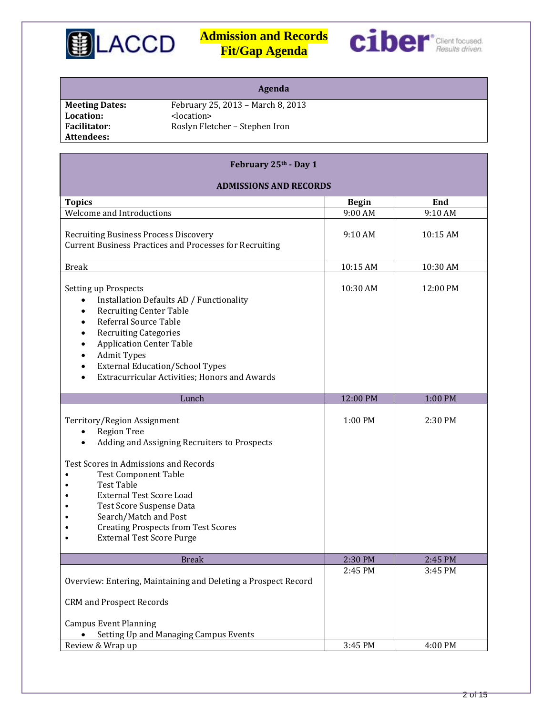



|                       | Agenda                            |
|-----------------------|-----------------------------------|
| <b>Meeting Dates:</b> | February 25, 2013 - March 8, 2013 |
| Location:             | <location></location>             |
| <b>Facilitator:</b>   | Roslyn Fletcher - Stephen Iron    |
| Attendees:            |                                   |
|                       |                                   |

**February 25th - Day 1**

### **ADMISSIONS AND RECORDS Topics Begin End** Welcome and Introductions  $9:00 \text{ AM}$  9:10 AM Recruiting Business Process Discovery Current Business Practices and Processes for Recruiting 9:10 AM 10:15 AM Break 10:30 AM 10:30 AM 10:30 AM 10:30 AM 10:30 AM 10:30 AM 10:30 AM 10:30 AM 10:30 AM 10:30 AM 10:30 AM 10:30 Setting up Prospects • Installation Defaults AD / Functionality • Recruiting Center Table<br>• Referral Source Table • Referral Source Table<br>• Recruiting Categories • Recruiting Categories<br>• Application Center Tal • Application Center Table • Admit Types • External Education/School Types • Extracurricular Activities; Honors and Awards 10:30 AM 12:00 PM Lunch 12:00 PM 12:00 PM 1:00 PM Territory/Region Assignment • Region Tree • Adding and Assigning Recruiters to Prospects Test Scores in Admissions and Records<br>Component Table • Test Component Table<br>• Test Table • Test Table<br>• External Te • External Test Score Load<br>• Test Score Suspense Data • Test Score Suspense Data<br>• Search/Match and Post • Search/Match and Post<br>• Creating Prospects from • Creating Prospects from Test Scores<br>• External Test Score Purge • External Test Score Purge  $1:00 \text{ PM}$  2:30 PM Break 2:30 PM 2:45 PM Overview: Entering, Maintaining and Deleting a Prospect Record CRM and Prospect Records Campus Event Planning • Setting Up and Managing Campus Events 2:45 PM 3:45 PM Review & Wrap up  $3:45$  PM  $4:00$  PM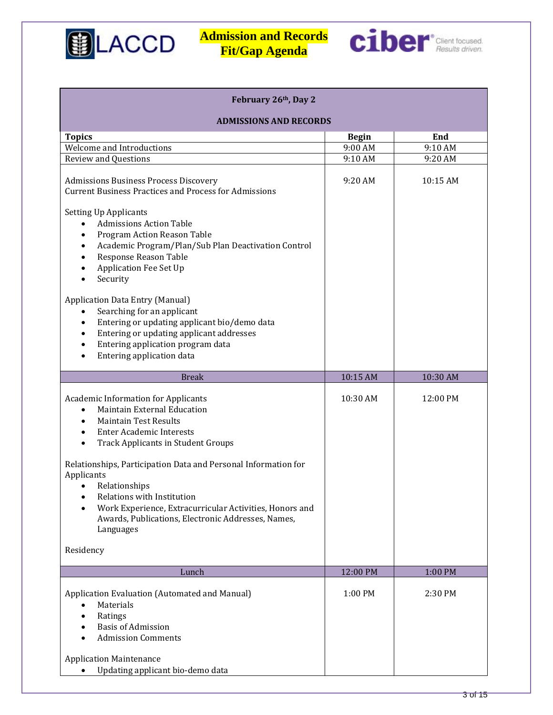



| February 26th, Day 2                                                                                                                                                                                                                                                                                                                                                                                                                                                             |              |          |  |
|----------------------------------------------------------------------------------------------------------------------------------------------------------------------------------------------------------------------------------------------------------------------------------------------------------------------------------------------------------------------------------------------------------------------------------------------------------------------------------|--------------|----------|--|
| <b>ADMISSIONS AND RECORDS</b>                                                                                                                                                                                                                                                                                                                                                                                                                                                    |              |          |  |
| <b>Topics</b>                                                                                                                                                                                                                                                                                                                                                                                                                                                                    | <b>Begin</b> | End      |  |
| Welcome and Introductions                                                                                                                                                                                                                                                                                                                                                                                                                                                        | 9:00 AM      | 9:10 AM  |  |
| Review and Questions                                                                                                                                                                                                                                                                                                                                                                                                                                                             | 9:10 AM      | 9:20 AM  |  |
| <b>Admissions Business Process Discovery</b><br><b>Current Business Practices and Process for Admissions</b>                                                                                                                                                                                                                                                                                                                                                                     | 9:20 AM      | 10:15 AM |  |
| <b>Setting Up Applicants</b><br><b>Admissions Action Table</b><br>Program Action Reason Table<br>Academic Program/Plan/Sub Plan Deactivation Control<br>Response Reason Table<br><b>Application Fee Set Up</b><br>Security<br><b>Application Data Entry (Manual)</b><br>Searching for an applicant<br>$\bullet$<br>Entering or updating applicant bio/demo data<br>$\bullet$<br>Entering or updating applicant addresses<br>$\bullet$                                            |              |          |  |
| Entering application program data<br>$\bullet$                                                                                                                                                                                                                                                                                                                                                                                                                                   |              |          |  |
| Entering application data                                                                                                                                                                                                                                                                                                                                                                                                                                                        |              |          |  |
|                                                                                                                                                                                                                                                                                                                                                                                                                                                                                  |              |          |  |
| <b>Break</b>                                                                                                                                                                                                                                                                                                                                                                                                                                                                     | 10:15 AM     | 10:30 AM |  |
| <b>Academic Information for Applicants</b><br>Maintain External Education<br><b>Maintain Test Results</b><br><b>Enter Academic Interests</b><br><b>Track Applicants in Student Groups</b><br>$\bullet$<br>Relationships, Participation Data and Personal Information for<br>Applicants<br>Relationships<br>$\bullet$<br>Relations with Institution<br>Work Experience, Extracurricular Activities, Honors and<br>Awards, Publications, Electronic Addresses, Names,<br>Languages | 10:30 AM     | 12:00 PM |  |
| Residency                                                                                                                                                                                                                                                                                                                                                                                                                                                                        |              |          |  |
| Lunch                                                                                                                                                                                                                                                                                                                                                                                                                                                                            | 12:00 PM     | 1:00 PM  |  |
| Application Evaluation (Automated and Manual)<br>Materials<br>$\bullet$<br>Ratings<br><b>Basis of Admission</b><br><b>Admission Comments</b><br><b>Application Maintenance</b>                                                                                                                                                                                                                                                                                                   | 1:00 PM      | 2:30 PM  |  |
| Updating applicant bio-demo data                                                                                                                                                                                                                                                                                                                                                                                                                                                 |              |          |  |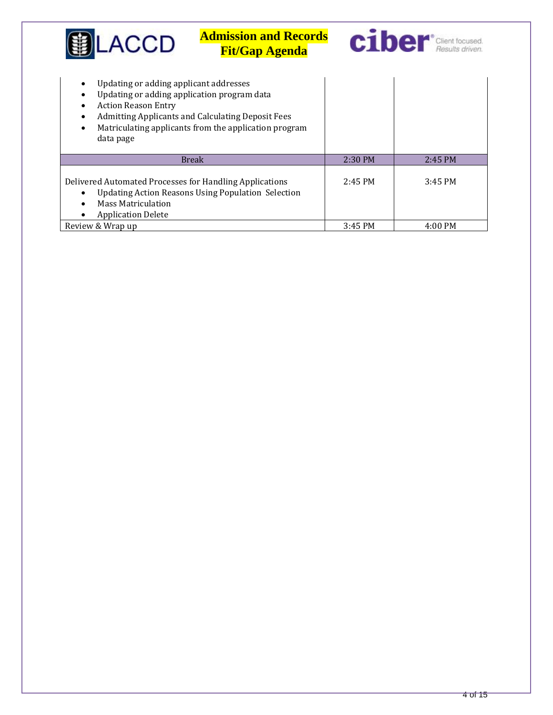| .ACCD                                                                                                                            | <b>Admission and Records</b><br><b>Fit/Gap Agenda</b>                                                             |           | <b>C1ber</b> Client focused. |
|----------------------------------------------------------------------------------------------------------------------------------|-------------------------------------------------------------------------------------------------------------------|-----------|------------------------------|
| Updating or adding applicant addresses<br>Updating or adding application program data<br><b>Action Reason Entry</b><br>data page | <b>Admitting Applicants and Calculating Deposit Fees</b><br>Matriculating applicants from the application program |           |                              |
|                                                                                                                                  | <b>Break</b>                                                                                                      | 2:30 PM   | 2:45 PM                      |
| Delivered Automated Processes for Handling Applications<br><b>Mass Matriculation</b><br><b>Application Delete</b>                | <b>Updating Action Reasons Using Population Selection</b>                                                         | $2:45$ PM | $3:45$ PM                    |
| Review & Wrap up                                                                                                                 |                                                                                                                   | $3:45$ PM | 4:00 PM                      |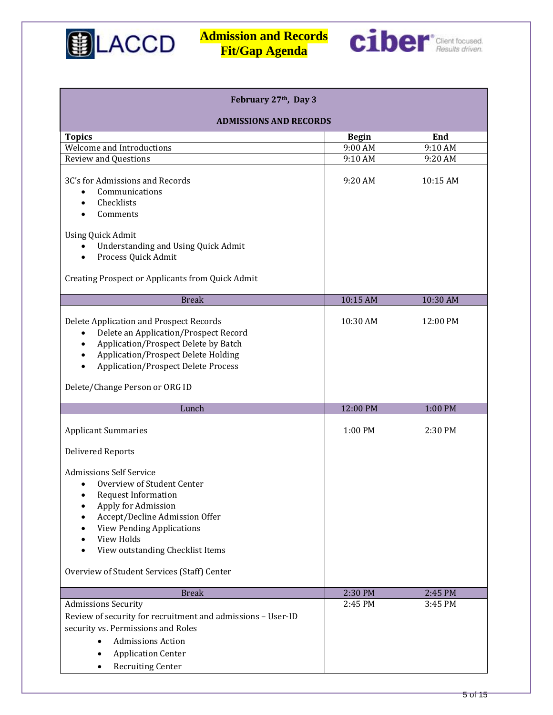



| February 27th, Day 3                                                                                                                                                                                                                            |              |          |  |
|-------------------------------------------------------------------------------------------------------------------------------------------------------------------------------------------------------------------------------------------------|--------------|----------|--|
| <b>ADMISSIONS AND RECORDS</b>                                                                                                                                                                                                                   |              |          |  |
| <b>Topics</b>                                                                                                                                                                                                                                   | <b>Begin</b> | End      |  |
| Welcome and Introductions                                                                                                                                                                                                                       | 9:00 AM      | 9:10 AM  |  |
| <b>Review and Questions</b>                                                                                                                                                                                                                     | 9:10 AM      | 9:20 AM  |  |
| 3C's for Admissions and Records<br>Communications<br>Checklists<br>Comments                                                                                                                                                                     | 9:20 AM      | 10:15 AM |  |
| <b>Using Quick Admit</b><br><b>Understanding and Using Quick Admit</b><br>Process Quick Admit                                                                                                                                                   |              |          |  |
| Creating Prospect or Applicants from Quick Admit                                                                                                                                                                                                |              |          |  |
| <b>Break</b>                                                                                                                                                                                                                                    | 10:15 AM     | 10:30 AM |  |
| Delete Application and Prospect Records<br>Delete an Application/Prospect Record<br>Application/Prospect Delete by Batch<br>Application/Prospect Delete Holding<br><b>Application/Prospect Delete Process</b><br>Delete/Change Person or ORG ID | 10:30 AM     | 12:00 PM |  |
|                                                                                                                                                                                                                                                 |              |          |  |
| Lunch                                                                                                                                                                                                                                           | 12:00 PM     | 1:00 PM  |  |
| <b>Applicant Summaries</b>                                                                                                                                                                                                                      | 1:00 PM      | 2:30 PM  |  |
| <b>Delivered Reports</b>                                                                                                                                                                                                                        |              |          |  |
| <b>Admissions Self Service</b><br>Overview of Student Center<br>Request Information<br>Apply for Admission<br>Accept/Decline Admission Offer<br><b>View Pending Applications</b><br>View Holds<br>View outstanding Checklist Items              |              |          |  |
| Overview of Student Services (Staff) Center                                                                                                                                                                                                     |              |          |  |
| <b>Break</b>                                                                                                                                                                                                                                    | 2:30 PM      | 2:45 PM  |  |
| <b>Admissions Security</b><br>Review of security for recruitment and admissions - User-ID<br>security vs. Permissions and Roles<br><b>Admissions Action</b><br><b>Application Center</b><br>٠<br><b>Recruiting Center</b><br>$\bullet$          | 2:45 PM      | 3:45 PM  |  |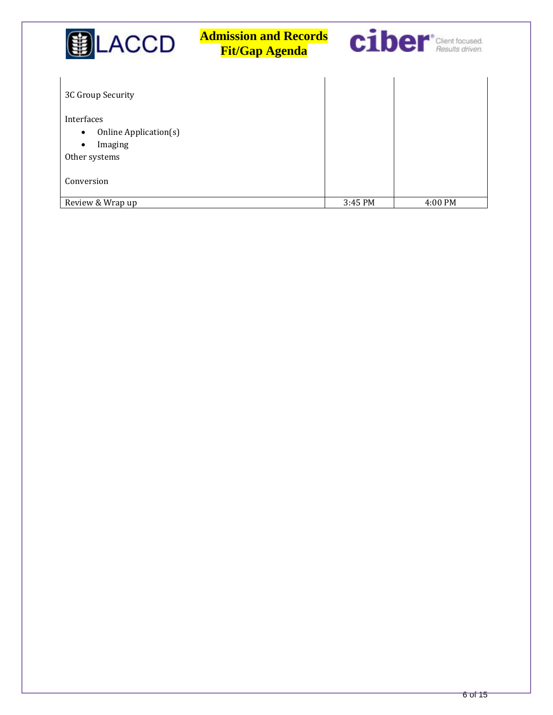| <b>LACCD</b>                                                   | <b>Admission and Records</b><br><b>Fit/Gap Agenda</b> |         | <b>C1ber</b> Client focused. |
|----------------------------------------------------------------|-------------------------------------------------------|---------|------------------------------|
| 3C Group Security<br>Interfaces                                |                                                       |         |                              |
| Online Application(s)<br>Imaging<br>$\bullet$<br>Other systems |                                                       |         |                              |
| Conversion<br>Review & Wrap up                                 |                                                       | 3:45 PM | 4:00 PM                      |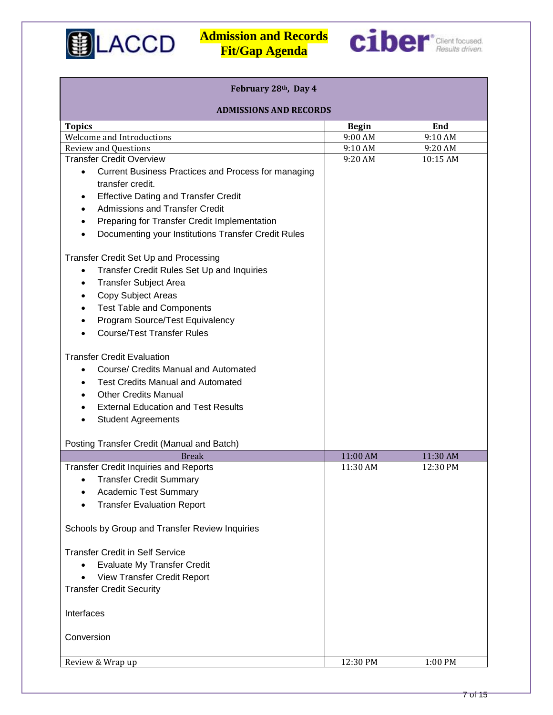



| February 28th, Day 4                                             |                               |          |  |  |
|------------------------------------------------------------------|-------------------------------|----------|--|--|
|                                                                  | <b>ADMISSIONS AND RECORDS</b> |          |  |  |
| <b>Topics</b>                                                    | <b>Begin</b>                  | End      |  |  |
| Welcome and Introductions                                        | 9:00 AM                       | 9:10 AM  |  |  |
| <b>Review and Questions</b>                                      | 9:10 AM                       | 9:20 AM  |  |  |
| <b>Transfer Credit Overview</b>                                  | 9:20 AM                       | 10:15 AM |  |  |
| Current Business Practices and Process for managing<br>$\bullet$ |                               |          |  |  |
| transfer credit.                                                 |                               |          |  |  |
| <b>Effective Dating and Transfer Credit</b>                      |                               |          |  |  |
| <b>Admissions and Transfer Credit</b>                            |                               |          |  |  |
| Preparing for Transfer Credit Implementation<br>$\bullet$        |                               |          |  |  |
| Documenting your Institutions Transfer Credit Rules              |                               |          |  |  |
| Transfer Credit Set Up and Processing                            |                               |          |  |  |
| Transfer Credit Rules Set Up and Inquiries<br>$\bullet$          |                               |          |  |  |
| <b>Transfer Subject Area</b><br>٠                                |                               |          |  |  |
| Copy Subject Areas<br>$\bullet$                                  |                               |          |  |  |
| <b>Test Table and Components</b><br>$\bullet$                    |                               |          |  |  |
| Program Source/Test Equivalency                                  |                               |          |  |  |
| <b>Course/Test Transfer Rules</b>                                |                               |          |  |  |
| <b>Transfer Credit Evaluation</b>                                |                               |          |  |  |
| Course/ Credits Manual and Automated<br>$\bullet$                |                               |          |  |  |
| <b>Test Credits Manual and Automated</b>                         |                               |          |  |  |
| <b>Other Credits Manual</b>                                      |                               |          |  |  |
| <b>External Education and Test Results</b>                       |                               |          |  |  |
| <b>Student Agreements</b>                                        |                               |          |  |  |
|                                                                  |                               |          |  |  |
| Posting Transfer Credit (Manual and Batch)                       |                               |          |  |  |
| <b>Break</b>                                                     | 11:00 AM                      | 11:30 AM |  |  |
| <b>Transfer Credit Inquiries and Reports</b>                     | 11:30 AM                      | 12:30 PM |  |  |
| <b>Transfer Credit Summary</b><br>$\bullet$                      |                               |          |  |  |
| <b>Academic Test Summary</b>                                     |                               |          |  |  |
| <b>Transfer Evaluation Report</b>                                |                               |          |  |  |
| Schools by Group and Transfer Review Inquiries                   |                               |          |  |  |
| <b>Transfer Credit in Self Service</b>                           |                               |          |  |  |
| <b>Evaluate My Transfer Credit</b><br>$\bullet$                  |                               |          |  |  |
| <b>View Transfer Credit Report</b>                               |                               |          |  |  |
| <b>Transfer Credit Security</b>                                  |                               |          |  |  |
| Interfaces                                                       |                               |          |  |  |
| Conversion                                                       |                               |          |  |  |
| Review & Wrap up                                                 | 12:30 PM                      | 1:00 PM  |  |  |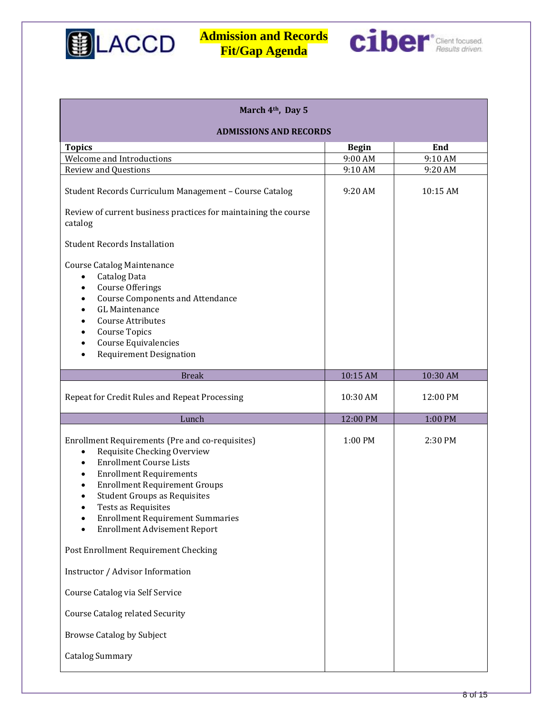



| March 4 <sup>th</sup> , Day 5                                                                                                                                                                                                                                                                                                                                                                                                                                                                                                                                                               |              |          |  |
|---------------------------------------------------------------------------------------------------------------------------------------------------------------------------------------------------------------------------------------------------------------------------------------------------------------------------------------------------------------------------------------------------------------------------------------------------------------------------------------------------------------------------------------------------------------------------------------------|--------------|----------|--|
| <b>ADMISSIONS AND RECORDS</b>                                                                                                                                                                                                                                                                                                                                                                                                                                                                                                                                                               |              |          |  |
| <b>Topics</b>                                                                                                                                                                                                                                                                                                                                                                                                                                                                                                                                                                               | <b>Begin</b> | End      |  |
| Welcome and Introductions                                                                                                                                                                                                                                                                                                                                                                                                                                                                                                                                                                   | 9:00 AM      | 9:10 AM  |  |
| <b>Review and Questions</b>                                                                                                                                                                                                                                                                                                                                                                                                                                                                                                                                                                 | 9:10 AM      | 9:20 AM  |  |
| Student Records Curriculum Management - Course Catalog                                                                                                                                                                                                                                                                                                                                                                                                                                                                                                                                      | 9:20 AM      | 10:15 AM |  |
| Review of current business practices for maintaining the course<br>catalog                                                                                                                                                                                                                                                                                                                                                                                                                                                                                                                  |              |          |  |
| <b>Student Records Installation</b>                                                                                                                                                                                                                                                                                                                                                                                                                                                                                                                                                         |              |          |  |
| <b>Course Catalog Maintenance</b><br>Catalog Data<br><b>Course Offerings</b><br><b>Course Components and Attendance</b><br><b>GL Maintenance</b><br><b>Course Attributes</b><br><b>Course Topics</b><br>Course Equivalencies<br><b>Requirement Designation</b><br>$\bullet$                                                                                                                                                                                                                                                                                                                 |              |          |  |
| <b>Break</b>                                                                                                                                                                                                                                                                                                                                                                                                                                                                                                                                                                                | 10:15 AM     | 10:30 AM |  |
| Repeat for Credit Rules and Repeat Processing                                                                                                                                                                                                                                                                                                                                                                                                                                                                                                                                               | 10:30 AM     | 12:00 PM |  |
| Lunch                                                                                                                                                                                                                                                                                                                                                                                                                                                                                                                                                                                       | 12:00 PM     | 1:00 PM  |  |
| Enrollment Requirements (Pre and co-requisites)<br>Requisite Checking Overview<br>$\bullet$<br><b>Enrollment Course Lists</b><br>$\bullet$<br><b>Enrollment Requirements</b><br><b>Enrollment Requirement Groups</b><br><b>Student Groups as Requisites</b><br>Tests as Requisites<br><b>Enrollment Requirement Summaries</b><br><b>Enrollment Advisement Report</b><br>Post Enrollment Requirement Checking<br>Instructor / Advisor Information<br>Course Catalog via Self Service<br><b>Course Catalog related Security</b><br><b>Browse Catalog by Subject</b><br><b>Catalog Summary</b> | 1:00 PM      | 2:30 PM  |  |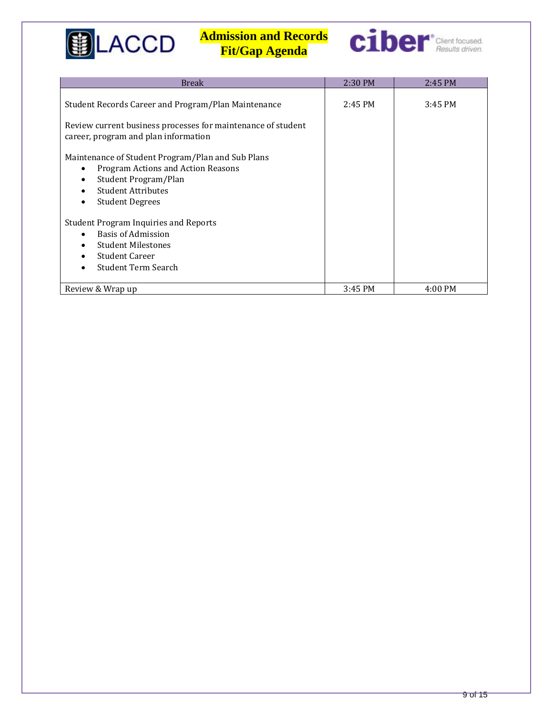



| <b>Break</b>                                                                                                                                                                        | 2:30 PM | 2:45 PM |
|-------------------------------------------------------------------------------------------------------------------------------------------------------------------------------------|---------|---------|
| Student Records Career and Program/Plan Maintenance<br>Review current business processes for maintenance of student<br>career, program and plan information                         | 2:45 PM | 3:45 PM |
| Maintenance of Student Program/Plan and Sub Plans<br>Program Actions and Action Reasons<br>$\bullet$<br>Student Program/Plan<br><b>Student Attributes</b><br><b>Student Degrees</b> |         |         |
| <b>Student Program Inquiries and Reports</b><br>Basis of Admission                                                                                                                  |         |         |
| <b>Student Milestones</b>                                                                                                                                                           |         |         |
| <b>Student Career</b>                                                                                                                                                               |         |         |
| <b>Student Term Search</b>                                                                                                                                                          |         |         |
| Review & Wrap up                                                                                                                                                                    | 3:45 PM | 4:00 PM |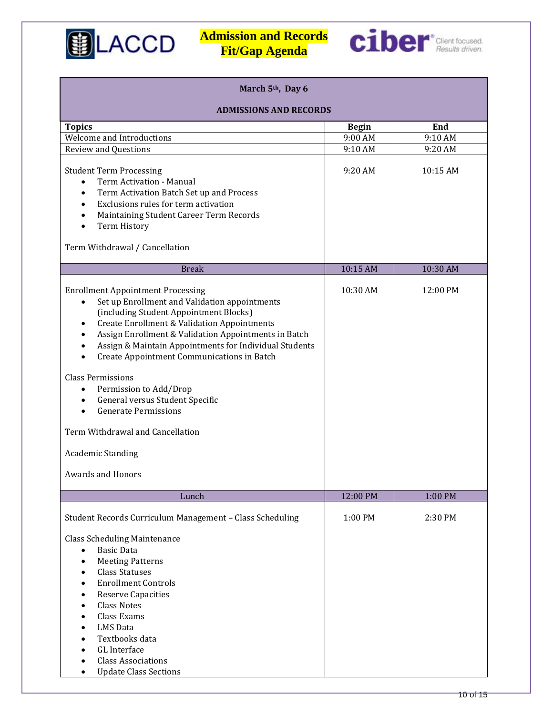



| March 5th, Day 6                                                                                                                                                                                                                                                                                                                                                                                                                                                                                                                                                                                                                        |              |          |  |
|-----------------------------------------------------------------------------------------------------------------------------------------------------------------------------------------------------------------------------------------------------------------------------------------------------------------------------------------------------------------------------------------------------------------------------------------------------------------------------------------------------------------------------------------------------------------------------------------------------------------------------------------|--------------|----------|--|
| <b>ADMISSIONS AND RECORDS</b>                                                                                                                                                                                                                                                                                                                                                                                                                                                                                                                                                                                                           |              |          |  |
| <b>Topics</b>                                                                                                                                                                                                                                                                                                                                                                                                                                                                                                                                                                                                                           | <b>Begin</b> | End      |  |
| Welcome and Introductions                                                                                                                                                                                                                                                                                                                                                                                                                                                                                                                                                                                                               | 9:00 AM      | 9:10 AM  |  |
| <b>Review and Questions</b>                                                                                                                                                                                                                                                                                                                                                                                                                                                                                                                                                                                                             | 9:10 AM      | 9:20 AM  |  |
| <b>Student Term Processing</b><br>Term Activation - Manual<br>$\bullet$<br>Term Activation Batch Set up and Process<br>$\bullet$<br>Exclusions rules for term activation<br>Maintaining Student Career Term Records<br>Term History                                                                                                                                                                                                                                                                                                                                                                                                     | 9:20 AM      | 10:15 AM |  |
| Term Withdrawal / Cancellation                                                                                                                                                                                                                                                                                                                                                                                                                                                                                                                                                                                                          |              |          |  |
| <b>Break</b>                                                                                                                                                                                                                                                                                                                                                                                                                                                                                                                                                                                                                            | 10:15 AM     | 10:30 AM |  |
| <b>Enrollment Appointment Processing</b><br>Set up Enrollment and Validation appointments<br>$\bullet$<br>(including Student Appointment Blocks)<br>Create Enrollment & Validation Appointments<br>$\bullet$<br>Assign Enrollment & Validation Appointments in Batch<br>Assign & Maintain Appointments for Individual Students<br>Create Appointment Communications in Batch<br><b>Class Permissions</b><br>Permission to Add/Drop<br>$\bullet$<br>General versus Student Specific<br>$\bullet$<br><b>Generate Permissions</b><br>$\bullet$<br>Term Withdrawal and Cancellation<br><b>Academic Standing</b><br><b>Awards and Honors</b> | 10:30 AM     | 12:00 PM |  |
| Lunch                                                                                                                                                                                                                                                                                                                                                                                                                                                                                                                                                                                                                                   | 12:00 PM     | 1:00 PM  |  |
| Student Records Curriculum Management - Class Scheduling<br><b>Class Scheduling Maintenance</b><br><b>Basic Data</b><br>$\bullet$<br><b>Meeting Patterns</b><br>$\bullet$<br><b>Class Statuses</b><br><b>Enrollment Controls</b><br><b>Reserve Capacities</b><br><b>Class Notes</b><br><b>Class Exams</b><br><b>LMS</b> Data<br>Textbooks data<br><b>GL</b> Interface<br><b>Class Associations</b><br><b>Update Class Sections</b><br>$\bullet$                                                                                                                                                                                         | 1:00 PM      | 2:30 PM  |  |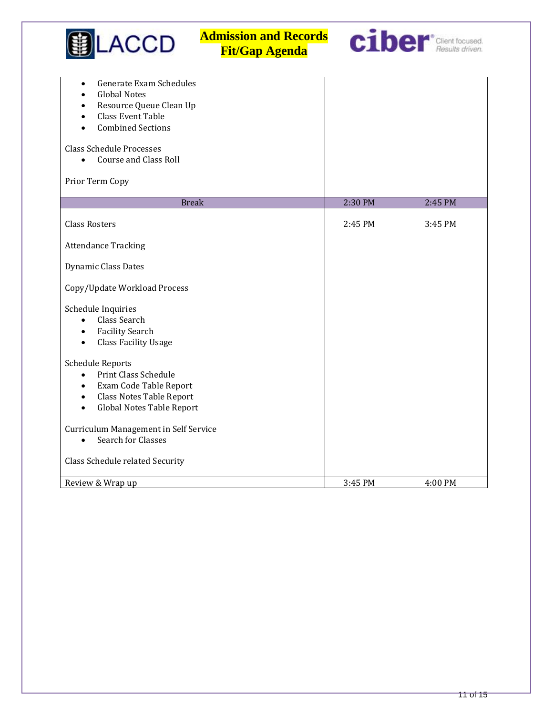| <b>Admission and Records</b><br><b>ACCD</b><br><b>Fit/Gap Agenda</b>                                                                                                                                                                                                        |         | ciber*Client focused. |
|-----------------------------------------------------------------------------------------------------------------------------------------------------------------------------------------------------------------------------------------------------------------------------|---------|-----------------------|
| Generate Exam Schedules<br><b>Global Notes</b><br>$\bullet$<br>Resource Queue Clean Up<br>$\bullet$<br><b>Class Event Table</b><br>$\bullet$<br><b>Combined Sections</b><br><b>Class Schedule Processes</b><br><b>Course and Class Roll</b><br>$\bullet$<br>Prior Term Copy |         |                       |
| <b>Break</b>                                                                                                                                                                                                                                                                | 2:30 PM | 2:45 PM               |
| <b>Class Rosters</b>                                                                                                                                                                                                                                                        | 2:45 PM | 3:45 PM               |
| <b>Attendance Tracking</b>                                                                                                                                                                                                                                                  |         |                       |
| Dynamic Class Dates                                                                                                                                                                                                                                                         |         |                       |
| Copy/Update Workload Process                                                                                                                                                                                                                                                |         |                       |
| Schedule Inquiries<br>Class Search<br>$\bullet$<br><b>Facility Search</b><br>$\bullet$<br><b>Class Facility Usage</b><br>$\bullet$                                                                                                                                          |         |                       |
| <b>Schedule Reports</b><br>Print Class Schedule<br>$\bullet$<br>Exam Code Table Report<br>$\bullet$<br>Class Notes Table Report<br>$\bullet$<br>Global Notes Table Report<br>$\bullet$                                                                                      |         |                       |
| Curriculum Management in Self Service                                                                                                                                                                                                                                       |         |                       |
| Search for Classes<br>$\bullet$                                                                                                                                                                                                                                             |         |                       |
| Class Schedule related Security                                                                                                                                                                                                                                             |         |                       |
| Review & Wrap up                                                                                                                                                                                                                                                            | 3:45 PM | 4:00 PM               |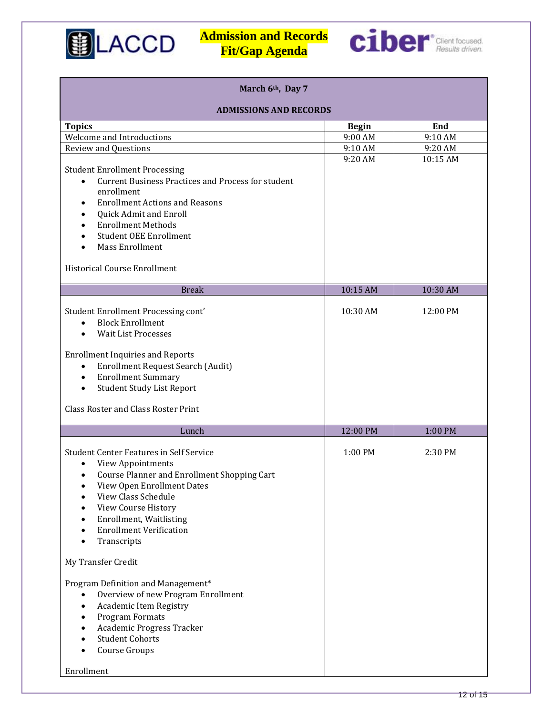



| March 6th, Day 7                                                                                                                                                                                                                                                                                                                                                                                                                                                                                                                                                                |              |          |  |
|---------------------------------------------------------------------------------------------------------------------------------------------------------------------------------------------------------------------------------------------------------------------------------------------------------------------------------------------------------------------------------------------------------------------------------------------------------------------------------------------------------------------------------------------------------------------------------|--------------|----------|--|
| <b>ADMISSIONS AND RECORDS</b>                                                                                                                                                                                                                                                                                                                                                                                                                                                                                                                                                   |              |          |  |
| <b>Topics</b>                                                                                                                                                                                                                                                                                                                                                                                                                                                                                                                                                                   | <b>Begin</b> | End      |  |
| Welcome and Introductions                                                                                                                                                                                                                                                                                                                                                                                                                                                                                                                                                       | 9:00 AM      | 9:10 AM  |  |
| <b>Review and Questions</b>                                                                                                                                                                                                                                                                                                                                                                                                                                                                                                                                                     | 9:10 AM      | 9:20 AM  |  |
| <b>Student Enrollment Processing</b><br><b>Current Business Practices and Process for student</b><br>enrollment<br><b>Enrollment Actions and Reasons</b><br>Quick Admit and Enroll<br><b>Enrollment Methods</b><br><b>Student OEE Enrollment</b><br><b>Mass Enrollment</b><br><b>Historical Course Enrollment</b>                                                                                                                                                                                                                                                               | 9:20 AM      | 10:15 AM |  |
| <b>Break</b>                                                                                                                                                                                                                                                                                                                                                                                                                                                                                                                                                                    | 10:15 AM     | 10:30 AM |  |
| Student Enrollment Processing cont'<br><b>Block Enrollment</b><br>$\bullet$<br><b>Wait List Processes</b><br><b>Enrollment Inquiries and Reports</b><br><b>Enrollment Request Search (Audit)</b><br>$\bullet$<br><b>Enrollment Summary</b><br>$\bullet$<br><b>Student Study List Report</b><br>$\bullet$<br><b>Class Roster and Class Roster Print</b>                                                                                                                                                                                                                          | 10:30 AM     | 12:00 PM |  |
| Lunch                                                                                                                                                                                                                                                                                                                                                                                                                                                                                                                                                                           | 12:00 PM     | 1:00 PM  |  |
| <b>Student Center Features in Self Service</b><br>View Appointments<br>$\bullet$<br>Course Planner and Enrollment Shopping Cart<br>$\bullet$<br>View Open Enrollment Dates<br>٠<br>View Class Schedule<br>View Course History<br><b>Enrollment, Waitlisting</b><br><b>Enrollment Verification</b><br>Transcripts<br>My Transfer Credit<br>Program Definition and Management*<br>Overview of new Program Enrollment<br>$\bullet$<br>Academic Item Registry<br>$\bullet$<br>Program Formats<br>Academic Progress Tracker<br><b>Student Cohorts</b><br>Course Groups<br>Enrollment | 1:00 PM      | 2:30 PM  |  |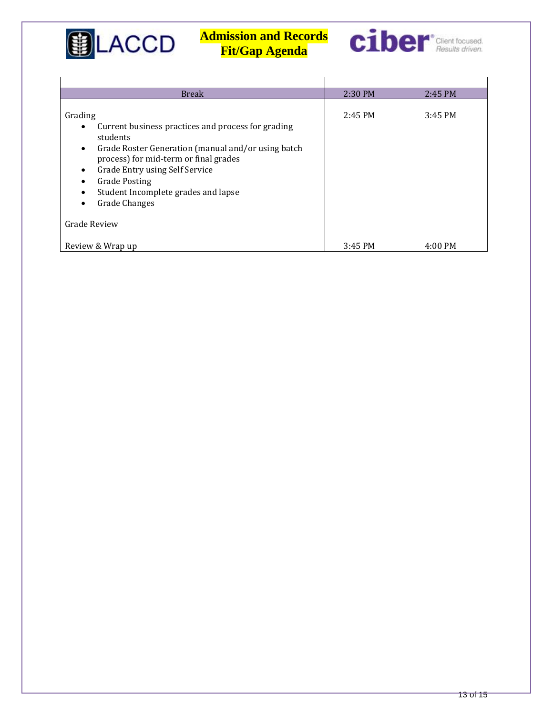

 $\overline{1}$ 

# **Admission and Records Fit/Gap Agenda**



 $\mathbf{r}$ 

| <b>Break</b>                                                                                                                                                                                                                                                                                                                          | 2:30 PM   | 2:45 PM           |
|---------------------------------------------------------------------------------------------------------------------------------------------------------------------------------------------------------------------------------------------------------------------------------------------------------------------------------------|-----------|-------------------|
| Grading<br>Current business practices and process for grading<br>students<br>Grade Roster Generation (manual and/or using batch<br>$\bullet$<br>process) for mid-term or final grades<br>Grade Entry using Self Service<br><b>Grade Posting</b><br>Student Incomplete grades and lapse<br><b>Grade Changes</b><br><b>Grade Review</b> | $2:45$ PM | $3:45$ PM         |
| Review & Wrap up                                                                                                                                                                                                                                                                                                                      | 3:45 PM   | $4:00 \text{ PM}$ |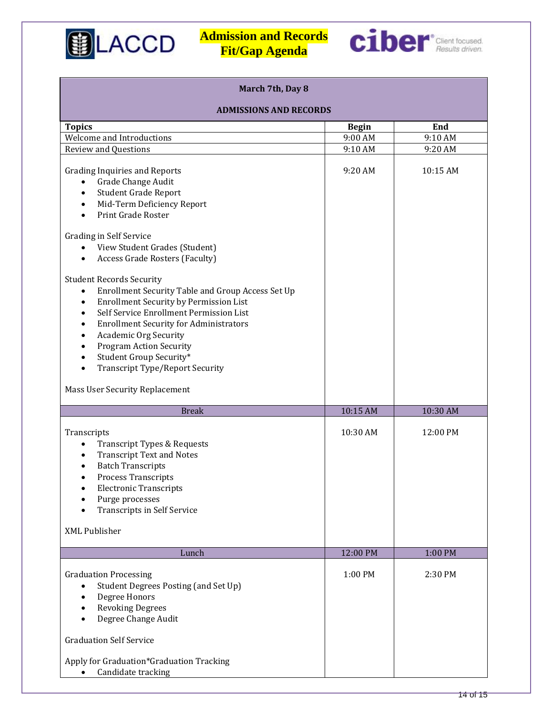



| March 7th, Day 8                                                                                                                                                                                                                                                                                                                                                                                                                                                                                                                                                                                                                                                                                                                                                                                |              |          |  |
|-------------------------------------------------------------------------------------------------------------------------------------------------------------------------------------------------------------------------------------------------------------------------------------------------------------------------------------------------------------------------------------------------------------------------------------------------------------------------------------------------------------------------------------------------------------------------------------------------------------------------------------------------------------------------------------------------------------------------------------------------------------------------------------------------|--------------|----------|--|
| <b>ADMISSIONS AND RECORDS</b>                                                                                                                                                                                                                                                                                                                                                                                                                                                                                                                                                                                                                                                                                                                                                                   |              |          |  |
| <b>Topics</b>                                                                                                                                                                                                                                                                                                                                                                                                                                                                                                                                                                                                                                                                                                                                                                                   | <b>Begin</b> | End      |  |
| Welcome and Introductions                                                                                                                                                                                                                                                                                                                                                                                                                                                                                                                                                                                                                                                                                                                                                                       | 9:00 AM      | 9:10 AM  |  |
| <b>Review and Questions</b>                                                                                                                                                                                                                                                                                                                                                                                                                                                                                                                                                                                                                                                                                                                                                                     | 9:10 AM      | 9:20 AM  |  |
| <b>Grading Inquiries and Reports</b><br>Grade Change Audit<br>$\bullet$<br><b>Student Grade Report</b><br>$\bullet$<br>Mid-Term Deficiency Report<br>$\bullet$<br>Print Grade Roster<br>$\bullet$<br><b>Grading in Self Service</b><br>View Student Grades (Student)<br>$\bullet$<br><b>Access Grade Rosters (Faculty)</b><br>$\bullet$<br><b>Student Records Security</b><br>Enrollment Security Table and Group Access Set Up<br>$\bullet$<br><b>Enrollment Security by Permission List</b><br>$\bullet$<br>Self Service Enrollment Permission List<br>$\bullet$<br><b>Enrollment Security for Administrators</b><br>Academic Org Security<br>٠<br><b>Program Action Security</b><br>$\bullet$<br>Student Group Security*<br>$\bullet$<br><b>Transcript Type/Report Security</b><br>$\bullet$ | 9:20 AM      | 10:15 AM |  |
| Mass User Security Replacement                                                                                                                                                                                                                                                                                                                                                                                                                                                                                                                                                                                                                                                                                                                                                                  |              |          |  |
| <b>Break</b>                                                                                                                                                                                                                                                                                                                                                                                                                                                                                                                                                                                                                                                                                                                                                                                    | 10:15 AM     | 10:30 AM |  |
| Transcripts<br>Transcript Types & Requests<br>$\bullet$<br><b>Transcript Text and Notes</b><br>٠<br><b>Batch Transcripts</b><br><b>Process Transcripts</b><br>$\bullet$<br><b>Electronic Transcripts</b><br>Purge processes<br><b>Transcripts in Self Service</b><br><b>XML Publisher</b>                                                                                                                                                                                                                                                                                                                                                                                                                                                                                                       | 10:30 AM     | 12:00 PM |  |
|                                                                                                                                                                                                                                                                                                                                                                                                                                                                                                                                                                                                                                                                                                                                                                                                 |              |          |  |
| Lunch                                                                                                                                                                                                                                                                                                                                                                                                                                                                                                                                                                                                                                                                                                                                                                                           | 12:00 PM     | 1:00 PM  |  |
| <b>Graduation Processing</b><br>Student Degrees Posting (and Set Up)<br>Degree Honors<br><b>Revoking Degrees</b><br>Degree Change Audit<br><b>Graduation Self Service</b><br>Apply for Graduation*Graduation Tracking<br>Candidate tracking                                                                                                                                                                                                                                                                                                                                                                                                                                                                                                                                                     | 1:00 PM      | 2:30 PM  |  |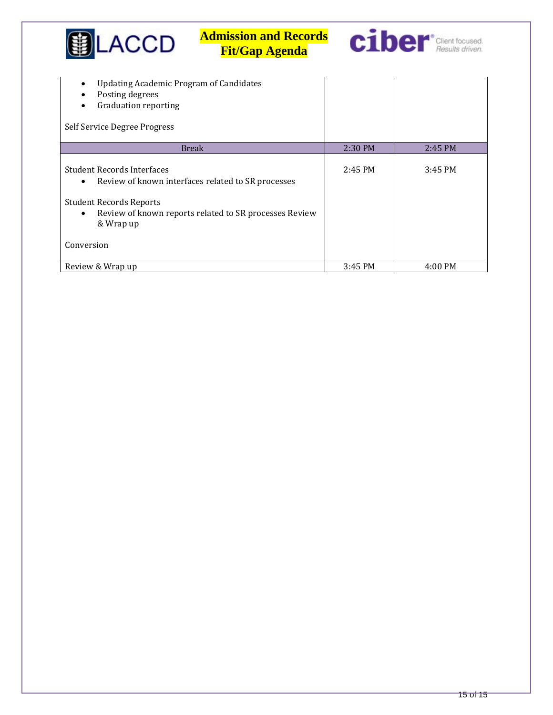| LACCD                                                                                                                            | <b>Admission and Records</b><br><b>Fit/Gap Agenda</b>                                                        |         | <b>Ciber</b> Client focused. |
|----------------------------------------------------------------------------------------------------------------------------------|--------------------------------------------------------------------------------------------------------------|---------|------------------------------|
| <b>Updating Academic Program of Candidates</b><br>Posting degrees<br><b>Graduation reporting</b><br>Self Service Degree Progress |                                                                                                              |         |                              |
|                                                                                                                                  | <b>Break</b>                                                                                                 | 2:30 PM | 2:45 PM                      |
| <b>Student Records Interfaces</b><br>$\bullet$<br><b>Student Records Reports</b><br>$\bullet$<br>& Wrap up                       | Review of known interfaces related to SR processes<br>Review of known reports related to SR processes Review | 2:45 PM | 3:45 PM                      |
| Conversion                                                                                                                       |                                                                                                              |         |                              |
| Review & Wrap up                                                                                                                 |                                                                                                              | 3:45 PM | 4:00 PM                      |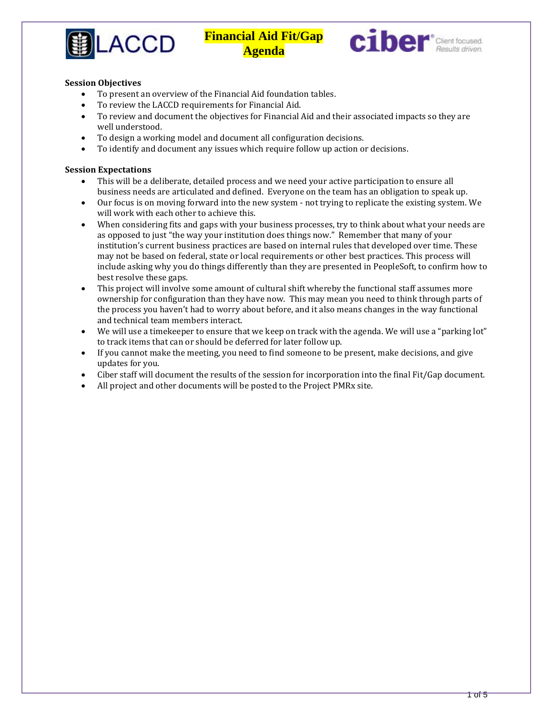



#### **Session Objectives**

- To present an overview of the Financial Aid foundation tables.
- To review the LACCD requirements for Financial Aid.
- To review and document the objectives for Financial Aid and their associated impacts so they are well understood.
- To design a working model and document all configuration decisions.
- To identify and document any issues which require follow up action or decisions.

#### **Session Expectations**

- This will be a deliberate, detailed process and we need your active participation to ensure all business needs are articulated and defined. Everyone on the team has an obligation to speak up.
- Our focus is on moving forward into the new system not trying to replicate the existing system. We will work with each other to achieve this.
- When considering fits and gaps with your business processes, try to think about what your needs are as opposed to just "the way your institution does things now." Remember that many of your institution's current business practices are based on internal rules that developed over time. These may not be based on federal, state or local requirements or other best practices. This process will include asking why you do things differently than they are presented in PeopleSoft, to confirm how to best resolve these gaps.
- This project will involve some amount of cultural shift whereby the functional staff assumes more ownership for configuration than they have now. This may mean you need to think through parts of the process you haven't had to worry about before, and it also means changes in the way functional and technical team members interact.
- We will use a timekeeper to ensure that we keep on track with the agenda. We will use a "parking lot" to track items that can or should be deferred for later follow up.
- If you cannot make the meeting, you need to find someone to be present, make decisions, and give updates for you.
- Ciber staff will document the results of the session for incorporation into the final Fit/Gap document.
- All project and other documents will be posted to the Project PMRx site.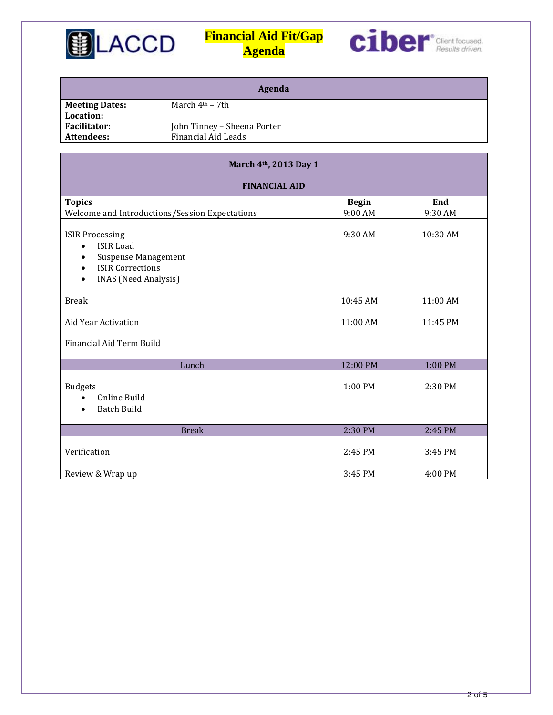



| Agenda                |                             |  |
|-----------------------|-----------------------------|--|
| <b>Meeting Dates:</b> | March $4th - 7th$           |  |
| Location:             |                             |  |
| <b>Facilitator:</b>   | John Tinney - Sheena Porter |  |
| Attendees:            | Financial Aid Leads         |  |
|                       |                             |  |

| March 4th, 2013 Day 1                                                                                                                                                          |              |           |  |
|--------------------------------------------------------------------------------------------------------------------------------------------------------------------------------|--------------|-----------|--|
| <b>FINANCIAL AID</b>                                                                                                                                                           |              |           |  |
| <b>Topics</b>                                                                                                                                                                  | <b>Begin</b> | End       |  |
| Welcome and Introductions/Session Expectations                                                                                                                                 | 9:00 AM      | 9:30 AM   |  |
| <b>ISIR Processing</b><br><b>ISIR Load</b><br>$\bullet$<br><b>Suspense Management</b><br>٠<br><b>ISIR Corrections</b><br>$\bullet$<br><b>INAS</b> (Need Analysis)<br>$\bullet$ | $9:30$ AM    | 10:30 AM  |  |
| <b>Break</b>                                                                                                                                                                   | 10:45 AM     | 11:00 AM  |  |
| Aid Year Activation<br>Financial Aid Term Build                                                                                                                                | $11:00$ AM   | 11:45 PM  |  |
| Lunch                                                                                                                                                                          | 12:00 PM     | 1:00 PM   |  |
| <b>Budgets</b><br>Online Build<br>$\bullet$<br><b>Batch Build</b>                                                                                                              | $1:00$ PM    | $2:30$ PM |  |
| <b>Break</b>                                                                                                                                                                   | 2:30 PM      | 2:45 PM   |  |
| Verification                                                                                                                                                                   | 2:45 PM      | 3:45 PM   |  |
| Review & Wrap up                                                                                                                                                               | 3:45 PM      | 4:00 PM   |  |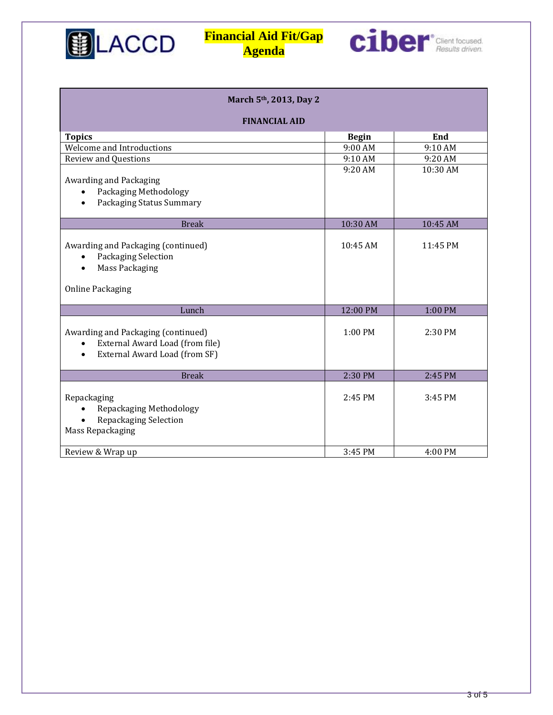



| March 5th, 2013, Day 2                                                                                                           |              |           |  |
|----------------------------------------------------------------------------------------------------------------------------------|--------------|-----------|--|
| <b>FINANCIAL AID</b>                                                                                                             |              |           |  |
| <b>Topics</b>                                                                                                                    | <b>Begin</b> | End       |  |
| Welcome and Introductions                                                                                                        | 9:00 AM      | 9:10 AM   |  |
| <b>Review and Questions</b>                                                                                                      | 9:10 AM      | 9:20 AM   |  |
| Awarding and Packaging<br>Packaging Methodology<br>$\bullet$<br>Packaging Status Summary<br>$\bullet$                            | 9:20 AM      | 10:30 AM  |  |
| <b>Break</b>                                                                                                                     | 10:30 AM     | 10:45 AM  |  |
| Awarding and Packaging (continued)<br>Packaging Selection<br>$\bullet$<br><b>Mass Packaging</b><br>$\bullet$                     | $10:45$ AM   | 11:45 PM  |  |
| <b>Online Packaging</b>                                                                                                          |              |           |  |
| Lunch                                                                                                                            | 12:00 PM     | 1:00 PM   |  |
| Awarding and Packaging (continued)<br>External Award Load (from file)<br>$\bullet$<br>External Award Load (from SF)<br>$\bullet$ | 1:00 PM      | 2:30 PM   |  |
| <b>Break</b>                                                                                                                     | 2:30 PM      | 2:45 PM   |  |
| Repackaging<br>Repackaging Methodology<br>$\bullet$<br>Repackaging Selection<br>Mass Repackaging                                 | $2:45$ PM    | $3:45$ PM |  |
| Review & Wrap up                                                                                                                 | 3:45 PM      | 4:00 PM   |  |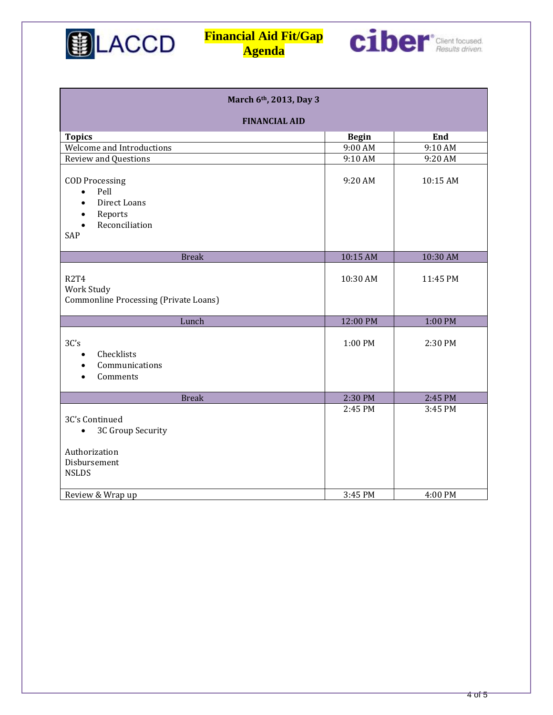



| March 6th, 2013, Day 3                                                                                                                |              |          |  |
|---------------------------------------------------------------------------------------------------------------------------------------|--------------|----------|--|
| <b>FINANCIAL AID</b>                                                                                                                  |              |          |  |
| <b>Topics</b>                                                                                                                         | <b>Begin</b> | End      |  |
| Welcome and Introductions                                                                                                             | 9:00 AM      | 9:10 AM  |  |
| <b>Review and Questions</b>                                                                                                           | 9:10 AM      | 9:20 AM  |  |
| <b>COD Processing</b><br>Pell<br>$\bullet$<br>Direct Loans<br>$\bullet$<br>Reports<br>$\bullet$<br>Reconciliation<br>$\bullet$<br>SAP | 9:20 AM      | 10:15 AM |  |
| <b>Break</b>                                                                                                                          | 10:15 AM     | 10:30 AM |  |
| <b>R2T4</b><br>Work Study<br><b>Commonline Processing (Private Loans)</b>                                                             | 10:30 AM     | 11:45 PM |  |
| Lunch                                                                                                                                 | 12:00 PM     | 1:00 PM  |  |
| 3C's<br>Checklists<br>$\bullet$<br>Communications<br>Comments                                                                         | 1:00 PM      | 2:30 PM  |  |
| <b>Break</b>                                                                                                                          | 2:30 PM      | 2:45 PM  |  |
| 3C's Continued<br>3C Group Security<br>$\bullet$<br>Authorization<br>Disbursement<br><b>NSLDS</b>                                     | 2:45 PM      | 3:45 PM  |  |
| Review & Wrap up                                                                                                                      | 3:45 PM      | 4:00 PM  |  |